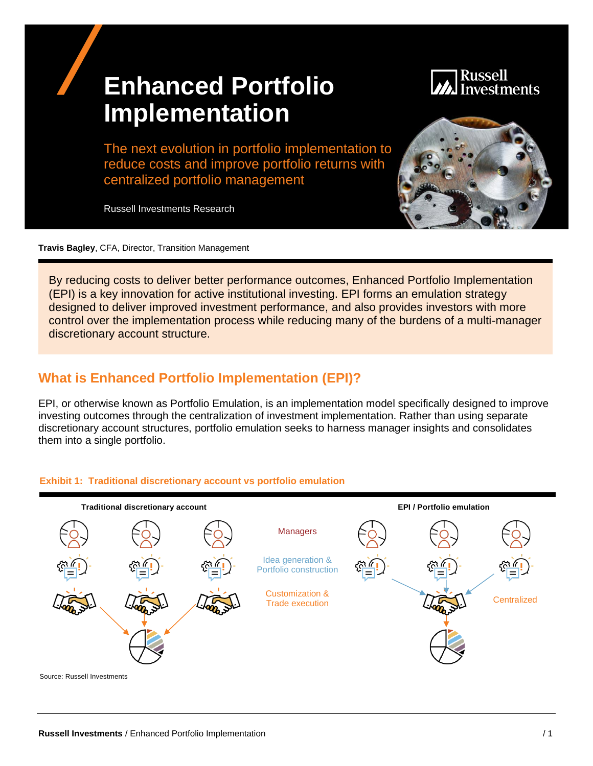# **Enhanced Portfolio Implementation**

## Russell nvestments

The next evolution in portfolio implementation to reduce costs and improve portfolio returns with centralized portfolio management

Russell Investments Research



**Travis Bagley**, CFA, Director, Transition Management

By reducing costs to deliver better performance outcomes, Enhanced Portfolio Implementation (EPI) is a key innovation for active institutional investing. EPI forms an emulation strategy designed to deliver improved investment performance, and also provides investors with more control over the implementation process while reducing many of the burdens of a multi-manager discretionary account structure.

# **What is Enhanced Portfolio Implementation (EPI)?**

EPI, or otherwise known as Portfolio Emulation, is an implementation model specifically designed to improve investing outcomes through the centralization of investment implementation. Rather than using separate discretionary account structures, portfolio emulation seeks to harness manager insights and consolidates them into a single portfolio.



#### **Exhibit 1: Traditional discretionary account vs portfolio emulation**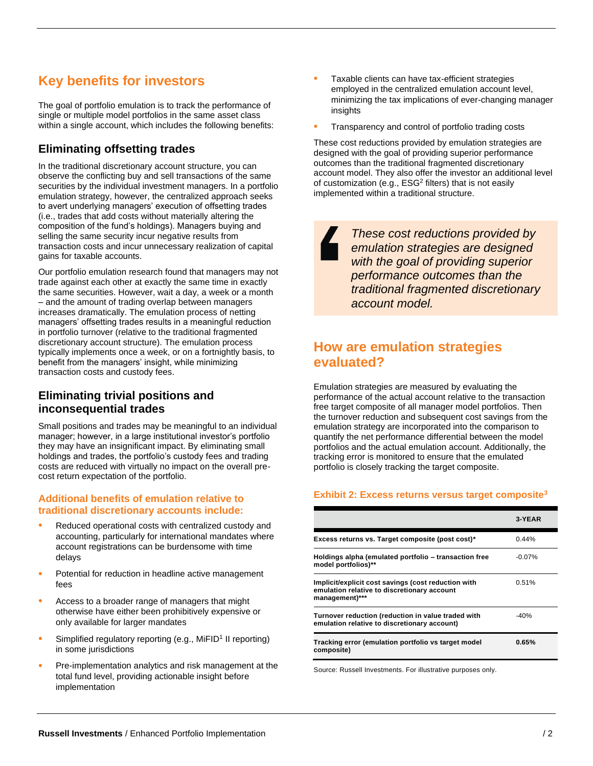# **Key benefits for investors**

The goal of portfolio emulation is to track the performance of single or multiple model portfolios in the same asset class within a single account, which includes the following benefits:

## **Eliminating offsetting trades**

In the traditional discretionary account structure, you can observe the conflicting buy and sell transactions of the same securities by the individual investment managers. In a portfolio emulation strategy, however, the centralized approach seeks to avert underlying managers' execution of offsetting trades (i.e., trades that add costs without materially altering the composition of the fund's holdings). Managers buying and selling the same security incur negative results from transaction costs and incur unnecessary realization of capital gains for taxable accounts.

Our portfolio emulation research found that managers may not trade against each other at exactly the same time in exactly the same securities. However, wait a day, a week or a month – and the amount of trading overlap between managers increases dramatically. The emulation process of netting managers' offsetting trades results in a meaningful reduction in portfolio turnover (relative to the traditional fragmented discretionary account structure). The emulation process typically implements once a week, or on a fortnightly basis, to benefit from the managers' insight, while minimizing transaction costs and custody fees.

#### **Eliminating trivial positions and inconsequential trades**

Small positions and trades may be meaningful to an individual manager; however, in a large institutional investor's portfolio they may have an insignificant impact. By eliminating small holdings and trades, the portfolio's custody fees and trading costs are reduced with virtually no impact on the overall precost return expectation of the portfolio.

#### **Additional benefits of emulation relative to traditional discretionary accounts include:**

- Reduced operational costs with centralized custody and accounting, particularly for international mandates where account registrations can be burdensome with time delays
- Potential for reduction in headline active management fees
- Access to a broader range of managers that might otherwise have either been prohibitively expensive or only available for larger mandates
- Simplified regulatory reporting (e.g., MiFID<sup>1</sup> II reporting) in some jurisdictions
- Pre-implementation analytics and risk management at the total fund level, providing actionable insight before implementation
- Taxable clients can have tax-efficient strategies employed in the centralized emulation account level, minimizing the tax implications of ever-changing manager insights
- Transparency and control of portfolio trading costs

These cost reductions provided by emulation strategies are designed with the goal of providing superior performance outcomes than the traditional fragmented discretionary account model. They also offer the investor an additional level of customization (e.g., ESG<sup>2</sup> filters) that is not easily implemented within a traditional structure.

> *These cost reductions provided by emulation strategies are designed with the goal of providing superior performance outcomes than the traditional fragmented discretionary account model.*

## **How are emulation strategies evaluated?**

Emulation strategies are measured by evaluating the performance of the actual account relative to the transaction free target composite of all manager model portfolios. Then the turnover reduction and subsequent cost savings from the emulation strategy are incorporated into the comparison to quantify the net performance differential between the model portfolios and the actual emulation account. Additionally, the tracking error is monitored to ensure that the emulated portfolio is closely tracking the target composite.

#### <span id="page-1-0"></span>**Exhibit 2: Excess returns versus target composite<sup>3</sup>**

|                                                                                                                      | <b>3-YEAR</b> |
|----------------------------------------------------------------------------------------------------------------------|---------------|
| Excess returns vs. Target composite (post cost)*                                                                     | 0.44%         |
| Holdings alpha (emulated portfolio – transaction free<br>model portfolios)**                                         | $-0.07\%$     |
| Implicit/explicit cost savings (cost reduction with<br>emulation relative to discretionary account<br>management)*** | 0.51%         |
| Turnover reduction (reduction in value traded with<br>emulation relative to discretionary account)                   | $-40%$        |
| Tracking error (emulation portfolio vs target model<br>composite)                                                    | 0.65%         |

Source: Russell Investments. For illustrative purposes only.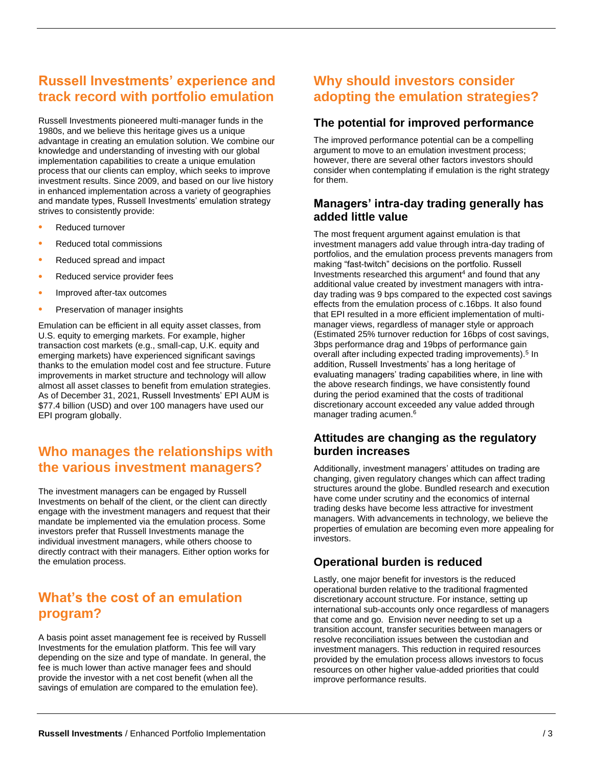# **Russell Investments' experience and track record with portfolio emulation**

Russell Investments pioneered multi-manager funds in the 1980s, and we believe this heritage gives us a unique advantage in creating an emulation solution. We combine our knowledge and understanding of investing with our global implementation capabilities to create a unique emulation process that our clients can employ, which seeks to improve investment results. Since 2009, and based on our live history in enhanced implementation across a variety of geographies and mandate types, Russell Investments' emulation strategy strives to consistently provide:

- Reduced turnover
- Reduced total commissions
- Reduced spread and impact
- Reduced service provider fees
- Improved after-tax outcomes
- Preservation of manager insights

Emulation can be efficient in all equity asset classes, from U.S. equity to emerging markets. For example, higher transaction cost markets (e.g., small-cap, U.K. equity and emerging markets) have experienced significant savings thanks to the emulation model cost and fee structure. Future improvements in market structure and technology will allow almost all asset classes to benefit from emulation strategies. As of December 31, 2021, Russell Investments' EPI AUM is \$77.4 billion (USD) and over 100 managers have used our EPI program globally.

## **Who manages the relationships with the various investment managers?**

The investment managers can be engaged by Russell Investments on behalf of the client, or the client can directly engage with the investment managers and request that their mandate be implemented via the emulation process. Some investors prefer that Russell Investments manage the individual investment managers, while others choose to directly contract with their managers. Either option works for the emulation process.

## **What's the cost of an emulation program?**

A basis point asset management fee is received by Russell Investments for the emulation platform. This fee will vary depending on the size and type of mandate. In general, the fee is much lower than active manager fees and should provide the investor with a net cost benefit (when all the savings of emulation are compared to the emulation fee).

## **Why should investors consider adopting the emulation strategies?**

#### **The potential for improved performance**

The improved performance potential can be a compelling argument to move to an emulation investment process; however, there are several other factors investors should consider when contemplating if emulation is the right strategy for them.

#### **Managers' intra-day trading generally has added little value**

The most frequent argument against emulation is that investment managers add value through intra-day trading of portfolios, and the emulation process prevents managers from making "fast-twitch" decisions on the portfolio. Russell Investments researched this argument<sup>4</sup> and found that any additional value created by investment managers with intraday trading was 9 bps compared to the expected cost savings effects from the emulation process of c.16bps. It also found that EPI resulted in a more efficient implementation of multimanager views, regardless of manager style or approach (Estimated 25% turnover reduction for 16bps of cost savings, 3bps performance drag and 19bps of performance gain overall after including expected trading improvements).<sup>5</sup> In addition, Russell Investments' has a long heritage of evaluating managers' trading capabilities where, in line with the above research findings, we have consistently found during the period examined that the costs of traditional discretionary account exceeded any value added through manager trading acumen.<sup>6</sup>

#### **Attitudes are changing as the regulatory burden increases**

Additionally, investment managers' attitudes on trading are changing, given regulatory changes which can affect trading structures around the globe. Bundled research and execution have come under scrutiny and the economics of internal trading desks have become less attractive for investment managers. With advancements in technology, we believe the properties of emulation are becoming even more appealing for investors.

#### **Operational burden is reduced**

Lastly, one major benefit for investors is the reduced operational burden relative to the traditional fragmented discretionary account structure. For instance, setting up international sub-accounts only once regardless of managers that come and go. Envision never needing to set up a transition account, transfer securities between managers or resolve reconciliation issues between the custodian and investment managers. This reduction in required resources provided by the emulation process allows investors to focus resources on other higher value-added priorities that could improve performance results.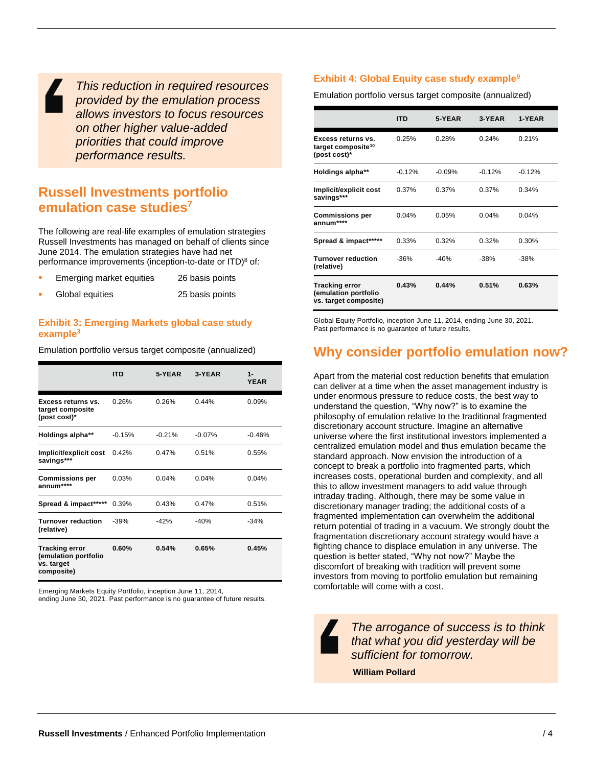*This reduction in required resources provided by the emulation process allows investors to focus resources on other higher value-added priorities that could improve performance results.*

## **Russell Investments portfolio emulation case studies<sup>7</sup>**

The following are real-life examples of emulation strategies Russell Investments has managed on behalf of clients since June 2014. The emulation strategies have had net performance improvements (inception-to-date or ITD)<sup>8</sup> of:

| Emerging market equities | 26 basis points |
|--------------------------|-----------------|
| Global equities          | 25 basis points |

#### **Exhibit 3: Emerging Markets global case study exampl[e](#page-1-0)<sup>3</sup>**

Emulation portfolio versus target composite (annualized)

|                                                                           | ITD      | 5-YEAR   | 3-YEAR    | $1 -$<br><b>YEAR</b> |
|---------------------------------------------------------------------------|----------|----------|-----------|----------------------|
| Excess returns vs.<br>target composite<br>(post cost)*                    | 0.26%    | 0.26%    | 0.44%     | 0.09%                |
| Holdings alpha**                                                          | $-0.15%$ | $-0.21%$ | $-0.07\%$ | $-0.46%$             |
| Implicit/explicit cost<br>savings***                                      | 0.42%    | 0.47%    | 0.51%     | 0.55%                |
| <b>Commissions per</b><br>annum****                                       | 0.03%    | 0.04%    | 0.04%     | 0.04%                |
| Spread & impact*****                                                      | 0.39%    | 0.43%    | 0.47%     | 0.51%                |
| <b>Turnover reduction</b><br>(relative)                                   | $-39%$   | $-42%$   | $-40%$    | $-34%$               |
| <b>Tracking error</b><br>(emulation portfolio<br>vs. target<br>composite) | $0.60\%$ | 0.54%    | 0.65%     | 0.45%                |

Emerging Markets Equity Portfolio, inception June 11, 2014,

ending June 30, 2021. Past performance is no guarantee of future results.

#### **Exhibit 4: Global Equity case study example<sup>9</sup>**

Emulation portfolio versus target composite (annualized)

|                                                                        | <b>ITD</b> | 5-YEAR   | 3-YEAR   | 1-YEAR   |
|------------------------------------------------------------------------|------------|----------|----------|----------|
| Excess returns vs.<br>target composite <sup>10</sup><br>(post cost)*   | 0.25%      | 0.28%    | 0.24%    | 0.21%    |
| <b>Holdings alpha**</b>                                                | $-0.12%$   | $-0.09%$ | $-0.12%$ | $-0.12%$ |
| Implicit/explicit cost<br>savings***                                   | 0.37%      | 0.37%    | 0.37%    | 0.34%    |
| <b>Commissions per</b><br>annum****                                    | 0.04%      | 0.05%    | 0.04%    | 0.04%    |
| Spread & impact*****                                                   | 0.33%      | 0.32%    | 0.32%    | 0.30%    |
| <b>Turnover reduction</b><br>(relative)                                | $-36%$     | $-40%$   | $-38%$   | $-38%$   |
| <b>Tracking error</b><br>(emulation portfolio<br>vs. target composite) | 0.43%      | 0.44%    | 0.51%    | 0.63%    |

Global Equity Portfolio, inception June 11, 2014, ending June 30, 2021. Past performance is no guarantee of future results.

## **Why consider portfolio emulation now?**

Apart from the material cost reduction benefits that emulation can deliver at a time when the asset management industry is under enormous pressure to reduce costs, the best way to understand the question, "Why now?" is to examine the philosophy of emulation relative to the traditional fragmented discretionary account structure. Imagine an alternative universe where the first institutional investors implemented a centralized emulation model and thus emulation became the standard approach. Now envision the introduction of a concept to break a portfolio into fragmented parts, which increases costs, operational burden and complexity, and all this to allow investment managers to add value through intraday trading. Although, there may be some value in discretionary manager trading; the additional costs of a fragmented implementation can overwhelm the additional return potential of trading in a vacuum. We strongly doubt the fragmentation discretionary account strategy would have a fighting chance to displace emulation in any universe. The question is better stated, "Why not now?" Maybe the discomfort of breaking with tradition will prevent some investors from moving to portfolio emulation but remaining comfortable will come with a cost.

*The arrogance of success is to think that what you did yesterday will be sufficient for tomorrow.*

**William Pollard**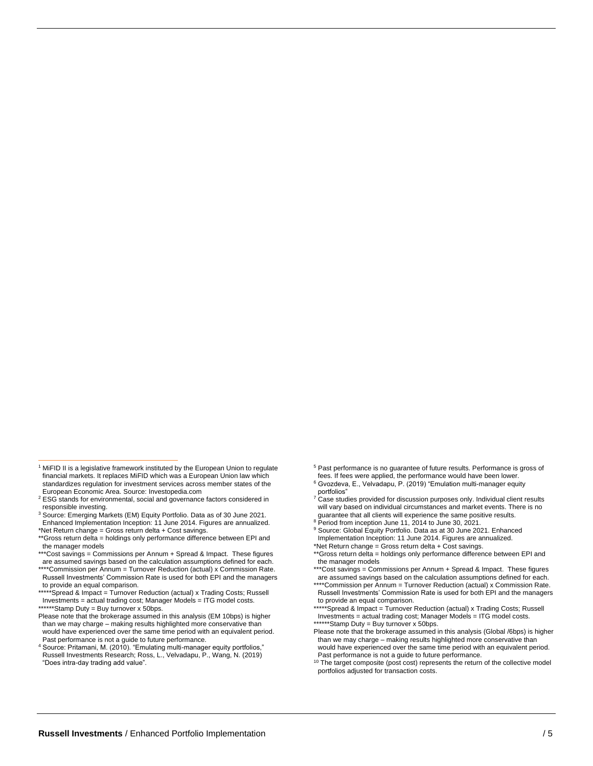- \*Spread & Impact = Turnover Reduction (actual) x Trading Costs; Russell Investments = actual trading cost; Manager Models = ITG model costs. \*\*\*\*\*\*Stamp Duty = Buy turnover x 50bps.
- Please note that the brokerage assumed in this analysis (EM 10bps) is higher than we may charge – making results highlighted more conservative than would have experienced over the same time period with an equivalent period. Past performance is not a guide to future performance.
- <sup>4</sup> Source: Pritamani, M. (2010). "Emulating multi-manager equity portfolios," Russell Investments Research; Ross, L., Velvadapu, P., Wang, N. (2019) "Does intra-day trading add value".
- <sup>5</sup> Past performance is no guarantee of future results. Performance is gross of
- fees. If fees were applied, the performance would have been lower. <sup>6</sup> Gvozdeva, E., Velvadapu, P. (2019) "Emulation multi-manager equity portfolios"

Case studies provided for discussion purposes only. Individual client results will vary based on individual circumstances and market events. There is no guarantee that all clients will experience the same positive results.

<sup>8</sup> Period from inception June 11, 2014 to June 30, 2021.

Source: Global Equity Portfolio. Data as at 30 June 2021. Enhanced Implementation Inception: 11 June 2014. Figures are annualized. \*Net Return change = Gross return delta + Cost savings.

\*\*\*Cost savings = Commissions per Annum + Spread & Impact. These figures are assumed savings based on the calculation assumptions defined for each. \*\*\*\*Commission per Annum = Turnover Reduction (actual) x Commission Rate.

Russell Investments' Commission Rate is used for both EPI and the managers to provide an equal comparison.

\*Spread & Impact = Turnover Reduction (actual) x Trading Costs; Russell Investments = actual trading cost; Manager Models = ITG model costs. \*Stamp Duty = Buy turnover x 50bps.

Please note that the brokerage assumed in this analysis (Global /6bps) is higher than we may charge – making results highlighted more conservative than would have experienced over the same time period with an equivalent period. Past performance is not a guide to future performance.

<sup>10</sup> The target composite (post cost) represents the return of the collective model portfolios adjusted for transaction costs.

<sup>&</sup>lt;sup>1</sup> MiFID II is a legislative framework instituted by the European Union to regulate financial markets. It replaces MiFID which was a European Union law which standardizes regulation for investment services across member states of the European Economic Area. Source: Investopedia.com

<sup>2</sup> ESG stands for environmental, social and governance factors considered in responsible investing.

<sup>3</sup> Source: Emerging Markets (EM) Equity Portfolio. Data as of 30 June 2021. Enhanced Implementation Inception: 11 June 2014. Figures are annualized. \*Net Return change = Gross return delta + Cost savings.

<sup>\*\*</sup>Gross return delta = holdings only performance difference between EPI and the manager models

<sup>\*\*\*</sup>Cost savings = Commissions per Annum + Spread & Impact. These figures are assumed savings based on the calculation assumptions defined for each.

<sup>\*\*\*\*</sup>Commission per Annum = Turnover Reduction (actual) x Commission Rate. Russell Investments' Commission Rate is used for both EPI and the managers to provide an equal comparison.

<sup>\*\*</sup>Gross return delta = holdings only performance difference between EPI and the manager models